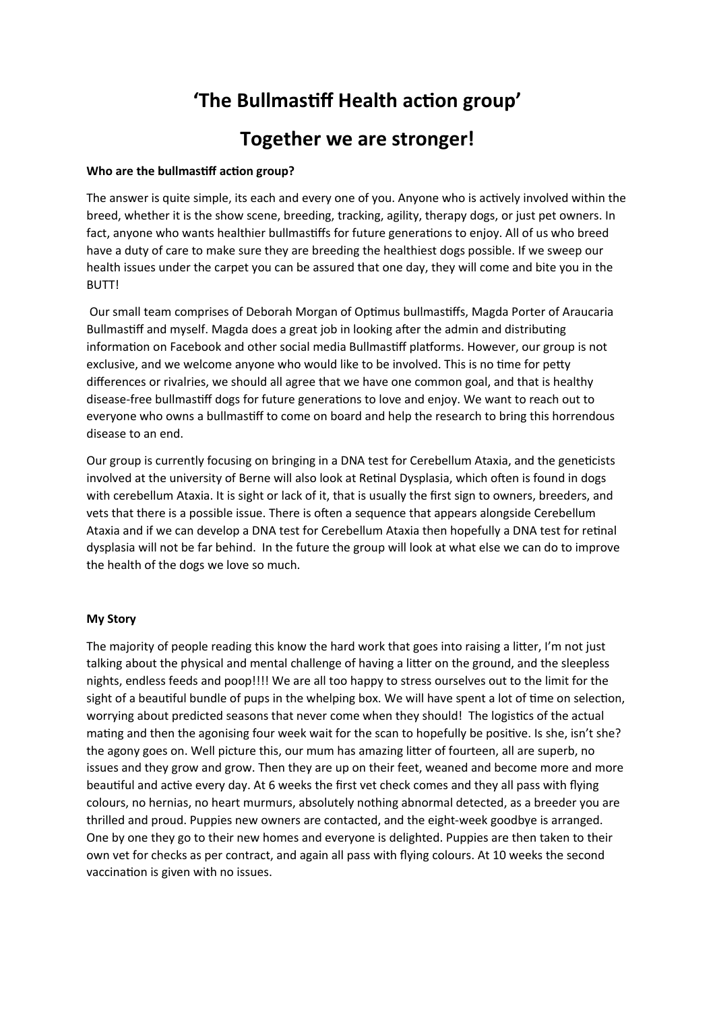# **'The Bullmastiff Health action group'**

# **Together we are stronger!**

### **Who are the bullmastiff action group?**

The answer is quite simple, its each and every one of you. Anyone who is actively involved within the breed, whether it is the show scene, breeding, tracking, agility, therapy dogs, or just pet owners. In fact, anyone who wants healthier bullmastiffs for future generations to enjoy. All of us who breed have a duty of care to make sure they are breeding the healthiest dogs possible. If we sweep our health issues under the carpet you can be assured that one day, they will come and bite you in the BUTT!

 Our small team comprises of Deborah Morgan of Optimus bullmastiffs, Magda Porter of Araucaria Bullmastiff and myself. Magda does a great job in looking after the admin and distributing information on Facebook and other social media Bullmastiff platforms. However, our group is not exclusive, and we welcome anyone who would like to be involved. This is no time for petty differences or rivalries, we should all agree that we have one common goal, and that is healthy disease-free bullmastiff dogs for future generations to love and enjoy. We want to reach out to everyone who owns a bullmastiff to come on board and help the research to bring this horrendous disease to an end.

Our group is currently focusing on bringing in a DNA test for Cerebellum Ataxia, and the geneticists involved at the university of Berne will also look at Retinal Dysplasia, which often is found in dogs with cerebellum Ataxia. It is sight or lack of it, that is usually the first sign to owners, breeders, and vets that there is a possible issue. There is often a sequence that appears alongside Cerebellum Ataxia and if we can develop a DNA test for Cerebellum Ataxia then hopefully a DNA test for retinal dysplasia will not be far behind. In the future the group will look at what else we can do to improve the health of the dogs we love so much.

#### **My Story**

The majority of people reading this know the hard work that goes into raising a litter, I'm not just talking about the physical and mental challenge of having a litter on the ground, and the sleepless nights, endless feeds and poop!!!! We are all too happy to stress ourselves out to the limit for the sight of a beautiful bundle of pups in the whelping box. We will have spent a lot of time on selection, worrying about predicted seasons that never come when they should! The logistics of the actual mating and then the agonising four week wait for the scan to hopefully be positive. Is she, isn't she? the agony goes on. Well picture this, our mum has amazing litter of fourteen, all are superb, no issues and they grow and grow. Then they are up on their feet, weaned and become more and more beautiful and active every day. At 6 weeks the first vet check comes and they all pass with flying colours, no hernias, no heart murmurs, absolutely nothing abnormal detected, as a breeder you are thrilled and proud. Puppies new owners are contacted, and the eight-week goodbye is arranged. One by one they go to their new homes and everyone is delighted. Puppies are then taken to their own vet for checks as per contract, and again all pass with flying colours. At 10 weeks the second vaccination is given with no issues.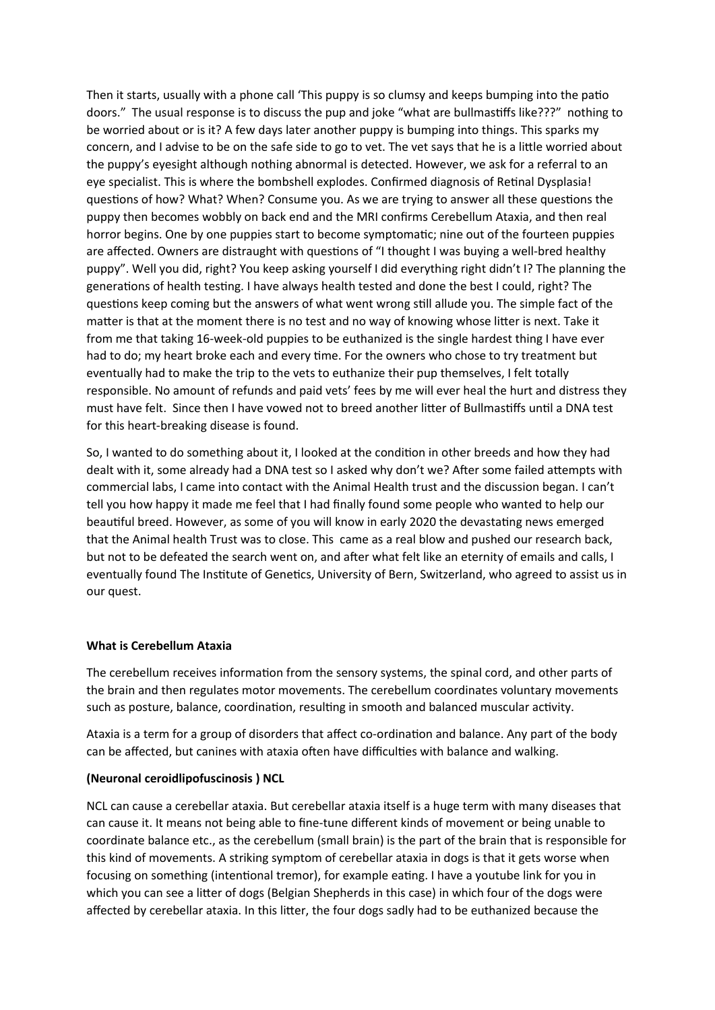Then it starts, usually with a phone call 'This puppy is so clumsy and keeps bumping into the patio doors." The usual response is to discuss the pup and joke "what are bullmastiffs like???" nothing to be worried about or is it? A few days later another puppy is bumping into things. This sparks my concern, and I advise to be on the safe side to go to vet. The vet says that he is a little worried about the puppy's eyesight although nothing abnormal is detected. However, we ask for a referral to an eye specialist. This is where the bombshell explodes. Confirmed diagnosis of Retinal Dysplasia! questions of how? What? When? Consume you. As we are trying to answer all these questions the puppy then becomes wobbly on back end and the MRI confirms Cerebellum Ataxia, and then real horror begins. One by one puppies start to become symptomatic; nine out of the fourteen puppies are affected. Owners are distraught with questions of "I thought I was buying a well-bred healthy puppy". Well you did, right? You keep asking yourself I did everything right didn't I? The planning the generations of health testing. I have always health tested and done the best I could, right? The questions keep coming but the answers of what went wrong still allude you. The simple fact of the matter is that at the moment there is no test and no way of knowing whose litter is next. Take it from me that taking 16-week-old puppies to be euthanized is the single hardest thing I have ever had to do; my heart broke each and every time. For the owners who chose to try treatment but eventually had to make the trip to the vets to euthanize their pup themselves, I felt totally responsible. No amount of refunds and paid vets' fees by me will ever heal the hurt and distress they must have felt. Since then I have vowed not to breed another litter of Bullmastiffs until a DNA test for this heart-breaking disease is found.

So, I wanted to do something about it, I looked at the condition in other breeds and how they had dealt with it, some already had a DNA test so I asked why don't we? After some failed attempts with commercial labs, I came into contact with the Animal Health trust and the discussion began. I can't tell you how happy it made me feel that I had finally found some people who wanted to help our beautiful breed. However, as some of you will know in early 2020 the devastating news emerged that the Animal health Trust was to close. This came as a real blow and pushed our research back, but not to be defeated the search went on, and after what felt like an eternity of emails and calls, I eventually found The Institute of Genetics, University of Bern, Switzerland, who agreed to assist us in our quest.

#### **What is Cerebellum Ataxia**

The cerebellum receives information from the sensory systems, the spinal cord, and other parts of the brain and then regulates motor movements. The cerebellum coordinates voluntary movements such as posture, balance, coordination, resulting in smooth and balanced muscular activity.

Ataxia is a term for a group of disorders that affect co-ordination and balance. Any part of the body can be affected, but canines with ataxia often have difficulties with balance and walking.

#### **(Neuronal ceroidlipofuscinosis ) NCL**

NCL can cause a cerebellar ataxia. But cerebellar ataxia itself is a huge term with many diseases that can cause it. It means not being able to fine-tune different kinds of movement or being unable to coordinate balance etc., as the cerebellum (small brain) is the part of the brain that is responsible for this kind of movements. A striking symptom of cerebellar ataxia in dogs is that it gets worse when focusing on something (intentional tremor), for example eating. I have a youtube link for you in which you can see a litter of dogs (Belgian Shepherds in this case) in which four of the dogs were affected by cerebellar ataxia. In this litter, the four dogs sadly had to be euthanized because the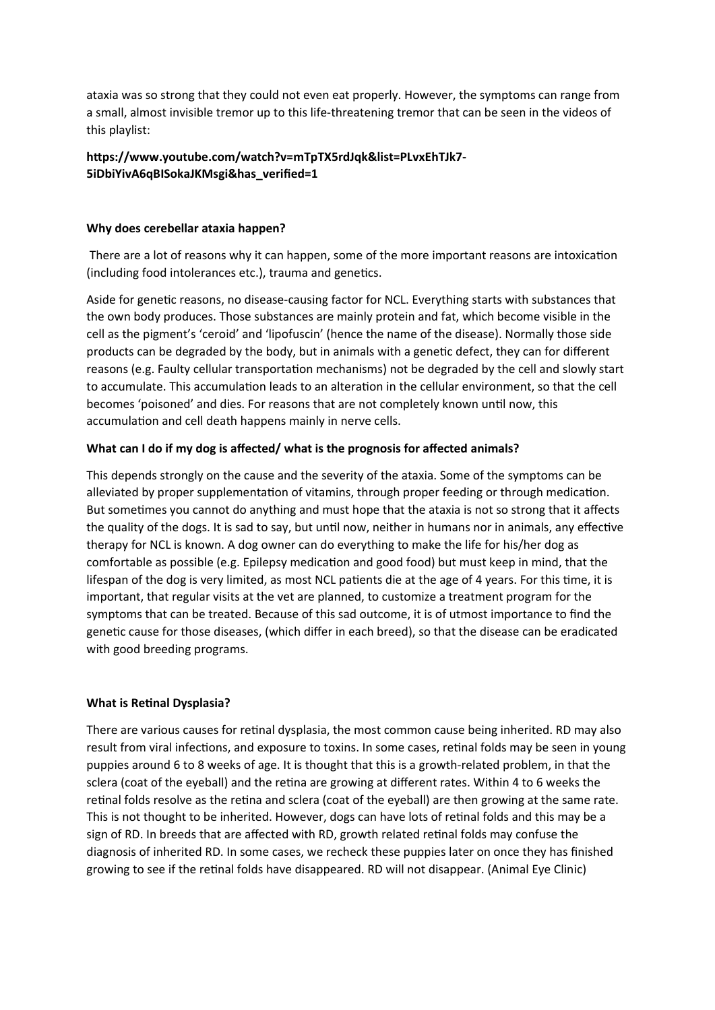ataxia was so strong that they could not even eat properly. However, the symptoms can range from a small, almost invisible tremor up to this life-threatening tremor that can be seen in the videos of this playlist:

## **https://www.youtube.com/watch?v=mTpTX5rdJqk&list=PLvxEhTJk7- 5iDbiYivA6qBISokaJKMsgi&has\_verified=1**

#### **Why does cerebellar ataxia happen?**

 There are a lot of reasons why it can happen, some of the more important reasons are intoxication (including food intolerances etc.), trauma and genetics.

Aside for genetic reasons, no disease-causing factor for NCL. Everything starts with substances that the own body produces. Those substances are mainly protein and fat, which become visible in the cell as the pigment's 'ceroid' and 'lipofuscin' (hence the name of the disease). Normally those side products can be degraded by the body, but in animals with a genetic defect, they can for different reasons (e.g. Faulty cellular transportation mechanisms) not be degraded by the cell and slowly start to accumulate. This accumulation leads to an alteration in the cellular environment, so that the cell becomes 'poisoned' and dies. For reasons that are not completely known until now, this accumulation and cell death happens mainly in nerve cells.

#### **What can I do if my dog is affected/ what is the prognosis for affected animals?**

This depends strongly on the cause and the severity of the ataxia. Some of the symptoms can be alleviated by proper supplementation of vitamins, through proper feeding or through medication. But sometimes you cannot do anything and must hope that the ataxia is not so strong that it affects the quality of the dogs. It is sad to say, but until now, neither in humans nor in animals, any effective therapy for NCL is known. A dog owner can do everything to make the life for his/her dog as comfortable as possible (e.g. Epilepsy medication and good food) but must keep in mind, that the lifespan of the dog is very limited, as most NCL patients die at the age of 4 years. For this time, it is important, that regular visits at the vet are planned, to customize a treatment program for the symptoms that can be treated. Because of this sad outcome, it is of utmost importance to find the genetic cause for those diseases, (which differ in each breed), so that the disease can be eradicated with good breeding programs.

#### **What is Retinal Dysplasia?**

There are various causes for retinal dysplasia, the most common cause being inherited. RD may also result from viral infections, and exposure to toxins. In some cases, retinal folds may be seen in young puppies around 6 to 8 weeks of age. It is thought that this is a growth-related problem, in that the sclera (coat of the eyeball) and the retina are growing at different rates. Within 4 to 6 weeks the retinal folds resolve as the retina and sclera (coat of the eyeball) are then growing at the same rate. This is not thought to be inherited. However, dogs can have lots of retinal folds and this may be a sign of RD. In breeds that are affected with RD, growth related retinal folds may confuse the diagnosis of inherited RD. In some cases, we recheck these puppies later on once they has finished growing to see if the retinal folds have disappeared. RD will not disappear. (Animal Eye Clinic)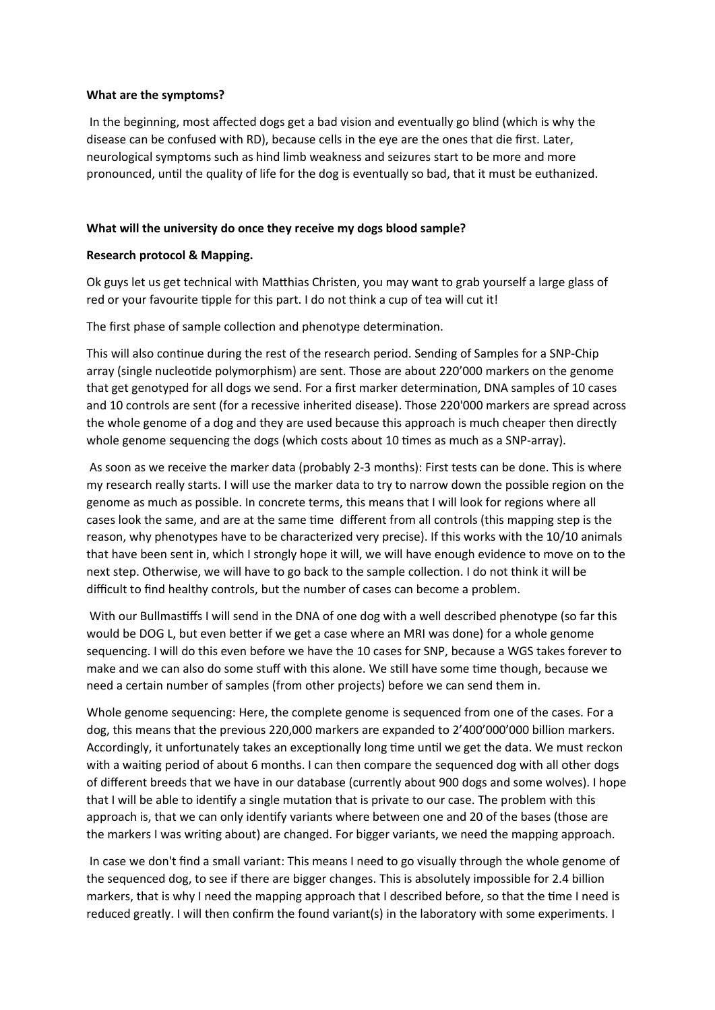#### **What are the symptoms?**

 In the beginning, most affected dogs get a bad vision and eventually go blind (which is why the disease can be confused with RD), because cells in the eye are the ones that die first. Later, neurological symptoms such as hind limb weakness and seizures start to be more and more pronounced, until the quality of life for the dog is eventually so bad, that it must be euthanized.

#### **What will the university do once they receive my dogs blood sample?**

#### **Research protocol & Mapping.**

Ok guys let us get technical with Matthias Christen, you may want to grab yourself a large glass of red or your favourite tipple for this part. I do not think a cup of tea will cut it!

The first phase of sample collection and phenotype determination.

This will also continue during the rest of the research period. Sending of Samples for a SNP-Chip array (single nucleotide polymorphism) are sent. Those are about 220'000 markers on the genome that get genotyped for all dogs we send. For a first marker determination, DNA samples of 10 cases and 10 controls are sent (for a recessive inherited disease). Those 220'000 markers are spread across the whole genome of a dog and they are used because this approach is much cheaper then directly whole genome sequencing the dogs (which costs about 10 times as much as a SNP-array).

 As soon as we receive the marker data (probably 2-3 months): First tests can be done. This is where my research really starts. I will use the marker data to try to narrow down the possible region on the genome as much as possible. In concrete terms, this means that I will look for regions where all cases look the same, and are at the same time different from all controls (this mapping step is the reason, why phenotypes have to be characterized very precise). If this works with the 10/10 animals that have been sent in, which I strongly hope it will, we will have enough evidence to move on to the next step. Otherwise, we will have to go back to the sample collection. I do not think it will be difficult to find healthy controls, but the number of cases can become a problem.

 With our Bullmastiffs I will send in the DNA of one dog with a well described phenotype (so far this would be DOG L, but even better if we get a case where an MRI was done) for a whole genome sequencing. I will do this even before we have the 10 cases for SNP, because a WGS takes forever to make and we can also do some stuff with this alone. We still have some time though, because we need a certain number of samples (from other projects) before we can send them in.

Whole genome sequencing: Here, the complete genome is sequenced from one of the cases. For a dog, this means that the previous 220,000 markers are expanded to 2'400'000'000 billion markers. Accordingly, it unfortunately takes an exceptionally long time until we get the data. We must reckon with a waiting period of about 6 months. I can then compare the sequenced dog with all other dogs of different breeds that we have in our database (currently about 900 dogs and some wolves). I hope that I will be able to identify a single mutation that is private to our case. The problem with this approach is, that we can only identify variants where between one and 20 of the bases (those are the markers I was writing about) are changed. For bigger variants, we need the mapping approach.

 In case we don't find a small variant: This means I need to go visually through the whole genome of the sequenced dog, to see if there are bigger changes. This is absolutely impossible for 2.4 billion markers, that is why I need the mapping approach that I described before, so that the time I need is reduced greatly. I will then confirm the found variant(s) in the laboratory with some experiments. I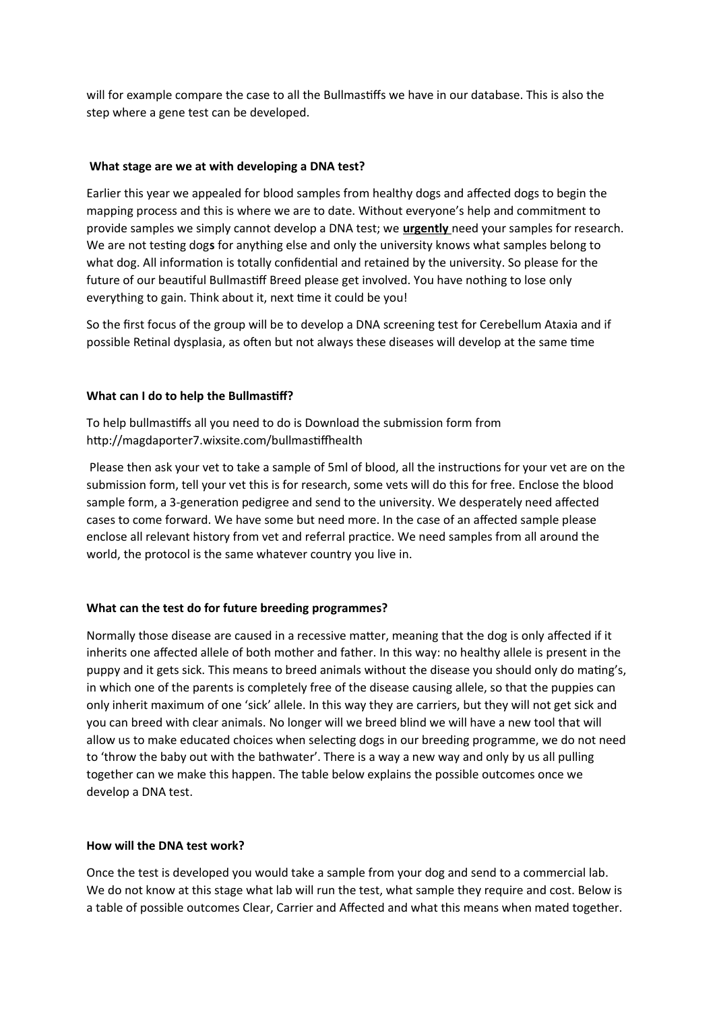will for example compare the case to all the Bullmastiffs we have in our database. This is also the step where a gene test can be developed.

#### **What stage are we at with developing a DNA test?**

Earlier this year we appealed for blood samples from healthy dogs and affected dogs to begin the mapping process and this is where we are to date. Without everyone's help and commitment to provide samples we simply cannot develop a DNA test; we **urgently** need your samples for research. We are not testing dog**s** for anything else and only the university knows what samples belong to what dog. All information is totally confidential and retained by the university. So please for the future of our beautiful Bullmastiff Breed please get involved. You have nothing to lose only everything to gain. Think about it, next time it could be you!

So the first focus of the group will be to develop a DNA screening test for Cerebellum Ataxia and if possible Retinal dysplasia, as often but not always these diseases will develop at the same time

#### **What can I do to help the Bullmastiff?**

To help bullmastiffs all you need to do is Download the submission form from http://magdaporter7.wixsite.com/bullmastiffhealth

 Please then ask your vet to take a sample of 5ml of blood, all the instructions for your vet are on the submission form, tell your vet this is for research, some vets will do this for free. Enclose the blood sample form, a 3-generation pedigree and send to the university. We desperately need affected cases to come forward. We have some but need more. In the case of an affected sample please enclose all relevant history from vet and referral practice. We need samples from all around the world, the protocol is the same whatever country you live in.

#### **What can the test do for future breeding programmes?**

Normally those disease are caused in a recessive matter, meaning that the dog is only affected if it inherits one affected allele of both mother and father. In this way: no healthy allele is present in the puppy and it gets sick. This means to breed animals without the disease you should only do mating's, in which one of the parents is completely free of the disease causing allele, so that the puppies can only inherit maximum of one 'sick' allele. In this way they are carriers, but they will not get sick and you can breed with clear animals. No longer will we breed blind we will have a new tool that will allow us to make educated choices when selecting dogs in our breeding programme, we do not need to 'throw the baby out with the bathwater'. There is a way a new way and only by us all pulling together can we make this happen. The table below explains the possible outcomes once we develop a DNA test.

#### **How will the DNA test work?**

Once the test is developed you would take a sample from your dog and send to a commercial lab. We do not know at this stage what lab will run the test, what sample they require and cost. Below is a table of possible outcomes Clear, Carrier and Affected and what this means when mated together.